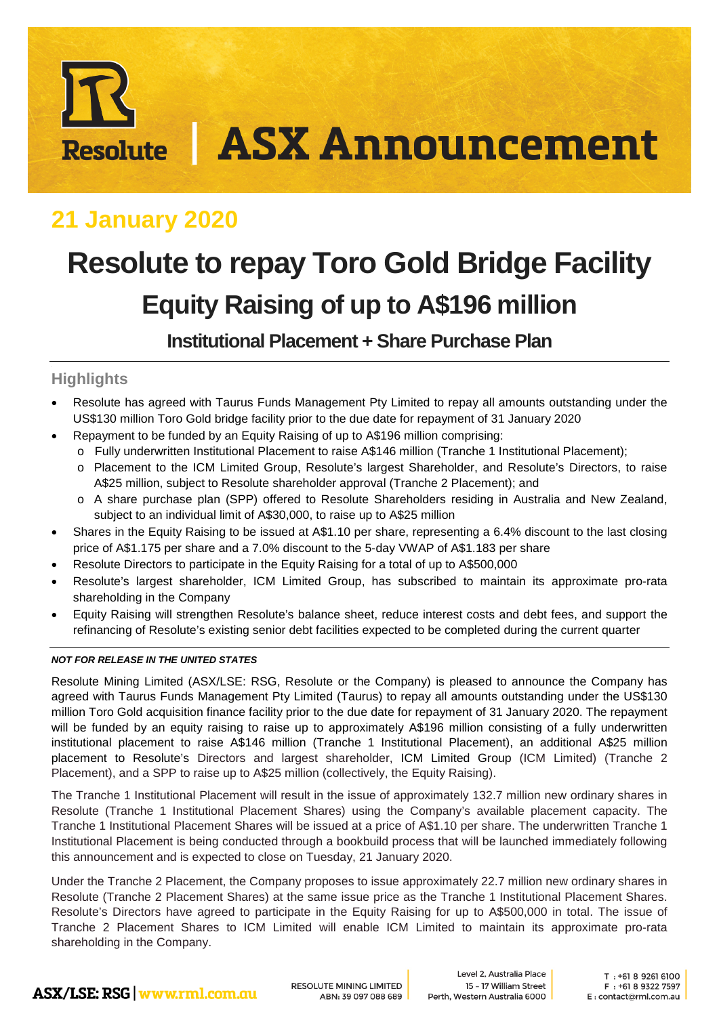# **ASX Announcement Resolute**

## **21 January 2020**

# **Resolute to repay Toro Gold Bridge Facility Equity Raising of up to A\$196 million**

**Institutional Placement + Share Purchase Plan**

#### **Highlights**

- Resolute has agreed with Taurus Funds Management Pty Limited to repay all amounts outstanding under the US\$130 million Toro Gold bridge facility prior to the due date for repayment of 31 January 2020
- Repayment to be funded by an Equity Raising of up to A\$196 million comprising:
	- o Fully underwritten Institutional Placement to raise A\$146 million (Tranche 1 Institutional Placement);
	- o Placement to the ICM Limited Group, Resolute's largest Shareholder, and Resolute's Directors, to raise A\$25 million, subject to Resolute shareholder approval (Tranche 2 Placement); and
	- o A share purchase plan (SPP) offered to Resolute Shareholders residing in Australia and New Zealand, subject to an individual limit of A\$30,000, to raise up to A\$25 million
- Shares in the Equity Raising to be issued at A\$1.10 per share, representing a 6.4% discount to the last closing price of A\$1.175 per share and a 7.0% discount to the 5-day VWAP of A\$1.183 per share
- Resolute Directors to participate in the Equity Raising for a total of up to A\$500,000
- Resolute's largest shareholder, ICM Limited Group, has subscribed to maintain its approximate pro-rata shareholding in the Company
- Equity Raising will strengthen Resolute's balance sheet, reduce interest costs and debt fees, and support the refinancing of Resolute's existing senior debt facilities expected to be completed during the current quarter

#### *NOT FOR RELEASE IN THE UNITED STATES*

Resolute Mining Limited (ASX/LSE: RSG, Resolute or the Company) is pleased to announce the Company has agreed with Taurus Funds Management Pty Limited (Taurus) to repay all amounts outstanding under the US\$130 million Toro Gold acquisition finance facility prior to the due date for repayment of 31 January 2020. The repayment will be funded by an equity raising to raise up to approximately A\$196 million consisting of a fully underwritten institutional placement to raise A\$146 million (Tranche 1 Institutional Placement), an additional A\$25 million placement to Resolute's Directors and largest shareholder, ICM Limited Group (ICM Limited) (Tranche 2 Placement), and a SPP to raise up to A\$25 million (collectively, the Equity Raising).

The Tranche 1 Institutional Placement will result in the issue of approximately 132.7 million new ordinary shares in Resolute (Tranche 1 Institutional Placement Shares) using the Company's available placement capacity. The Tranche 1 Institutional Placement Shares will be issued at a price of A\$1.10 per share. The underwritten Tranche 1 Institutional Placement is being conducted through a bookbuild process that will be launched immediately following this announcement and is expected to close on Tuesday, 21 January 2020.

Under the Tranche 2 Placement, the Company proposes to issue approximately 22.7 million new ordinary shares in Resolute (Tranche 2 Placement Shares) at the same issue price as the Tranche 1 Institutional Placement Shares. Resolute's Directors have agreed to participate in the Equity Raising for up to A\$500,000 in total. The issue of Tranche 2 Placement Shares to ICM Limited will enable ICM Limited to maintain its approximate pro-rata shareholding in the Company.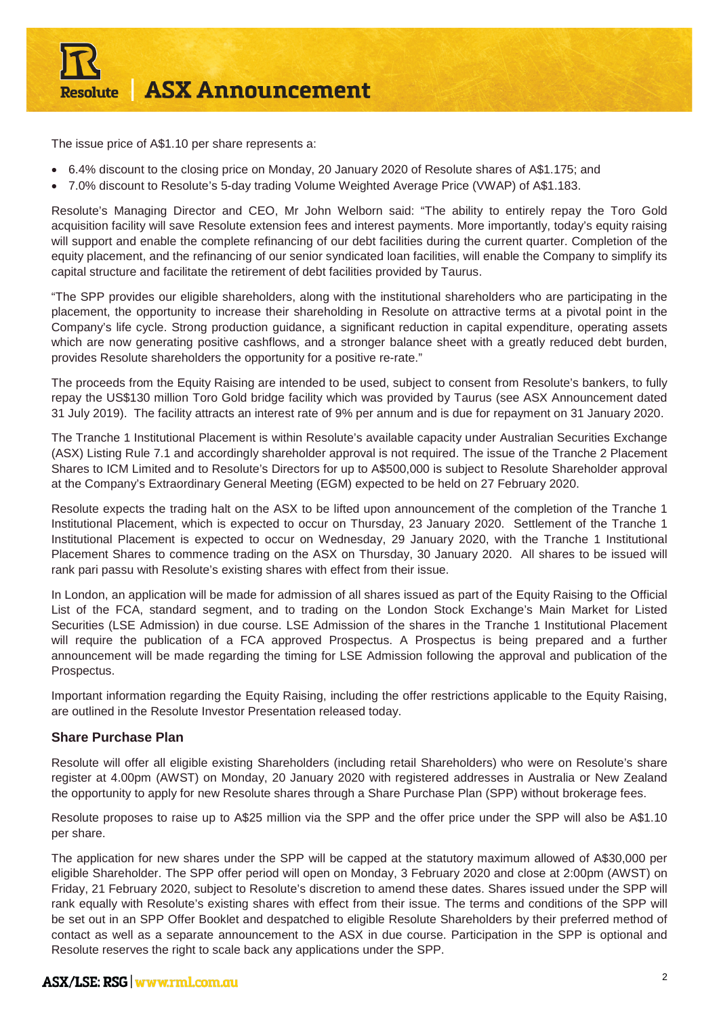

The issue price of A\$1.10 per share represents a:

- 6.4% discount to the closing price on Monday, 20 January 2020 of Resolute shares of A\$1.175; and
- 7.0% discount to Resolute's 5-day trading Volume Weighted Average Price (VWAP) of A\$1.183.

Resolute's Managing Director and CEO, Mr John Welborn said: "The ability to entirely repay the Toro Gold acquisition facility will save Resolute extension fees and interest payments. More importantly, today's equity raising will support and enable the complete refinancing of our debt facilities during the current quarter. Completion of the equity placement, and the refinancing of our senior syndicated loan facilities, will enable the Company to simplify its capital structure and facilitate the retirement of debt facilities provided by Taurus.

"The SPP provides our eligible shareholders, along with the institutional shareholders who are participating in the placement, the opportunity to increase their shareholding in Resolute on attractive terms at a pivotal point in the Company's life cycle. Strong production guidance, a significant reduction in capital expenditure, operating assets which are now generating positive cashflows, and a stronger balance sheet with a greatly reduced debt burden, provides Resolute shareholders the opportunity for a positive re-rate."

The proceeds from the Equity Raising are intended to be used, subject to consent from Resolute's bankers, to fully repay the US\$130 million Toro Gold bridge facility which was provided by Taurus (see ASX Announcement dated 31 July 2019). The facility attracts an interest rate of 9% per annum and is due for repayment on 31 January 2020.

The Tranche 1 Institutional Placement is within Resolute's available capacity under Australian Securities Exchange (ASX) Listing Rule 7.1 and accordingly shareholder approval is not required. The issue of the Tranche 2 Placement Shares to ICM Limited and to Resolute's Directors for up to A\$500,000 is subject to Resolute Shareholder approval at the Company's Extraordinary General Meeting (EGM) expected to be held on 27 February 2020.

Resolute expects the trading halt on the ASX to be lifted upon announcement of the completion of the Tranche 1 Institutional Placement, which is expected to occur on Thursday, 23 January 2020. Settlement of the Tranche 1 Institutional Placement is expected to occur on Wednesday, 29 January 2020, with the Tranche 1 Institutional Placement Shares to commence trading on the ASX on Thursday, 30 January 2020. All shares to be issued will rank pari passu with Resolute's existing shares with effect from their issue.

In London, an application will be made for admission of all shares issued as part of the Equity Raising to the Official List of the FCA, standard segment, and to trading on the London Stock Exchange's Main Market for Listed Securities (LSE Admission) in due course. LSE Admission of the shares in the Tranche 1 Institutional Placement will require the publication of a FCA approved Prospectus. A Prospectus is being prepared and a further announcement will be made regarding the timing for LSE Admission following the approval and publication of the Prospectus.

Important information regarding the Equity Raising, including the offer restrictions applicable to the Equity Raising, are outlined in the Resolute Investor Presentation released today.

#### **Share Purchase Plan**

Resolute will offer all eligible existing Shareholders (including retail Shareholders) who were on Resolute's share register at 4.00pm (AWST) on Monday, 20 January 2020 with registered addresses in Australia or New Zealand the opportunity to apply for new Resolute shares through a Share Purchase Plan (SPP) without brokerage fees.

Resolute proposes to raise up to A\$25 million via the SPP and the offer price under the SPP will also be A\$1.10 per share.

The application for new shares under the SPP will be capped at the statutory maximum allowed of A\$30,000 per eligible Shareholder. The SPP offer period will open on Monday, 3 February 2020 and close at 2:00pm (AWST) on Friday, 21 February 2020, subject to Resolute's discretion to amend these dates. Shares issued under the SPP will rank equally with Resolute's existing shares with effect from their issue. The terms and conditions of the SPP will be set out in an SPP Offer Booklet and despatched to eligible Resolute Shareholders by their preferred method of contact as well as a separate announcement to the ASX in due course. Participation in the SPP is optional and Resolute reserves the right to scale back any applications under the SPP.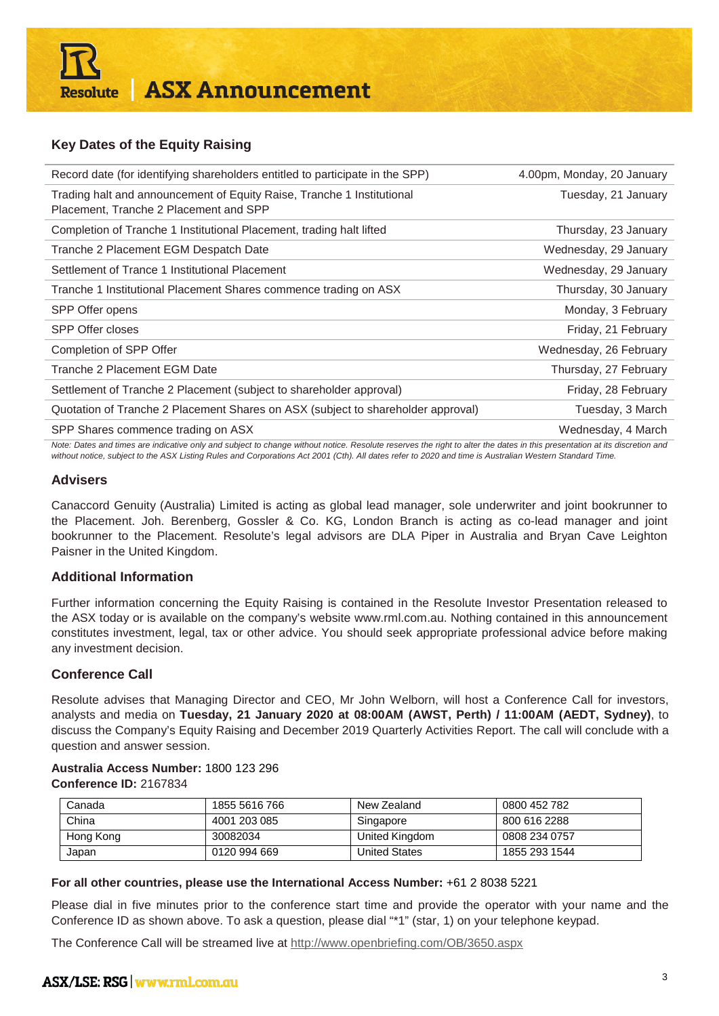#### **Key Dates of the Equity Raising**

| Record date (for identifying shareholders entitled to participate in the SPP)                                                                                             | 4.00pm, Monday, 20 January |  |
|---------------------------------------------------------------------------------------------------------------------------------------------------------------------------|----------------------------|--|
| Trading halt and announcement of Equity Raise, Tranche 1 Institutional<br>Placement, Tranche 2 Placement and SPP                                                          | Tuesday, 21 January        |  |
| Completion of Tranche 1 Institutional Placement, trading halt lifted                                                                                                      | Thursday, 23 January       |  |
| Tranche 2 Placement EGM Despatch Date                                                                                                                                     | Wednesday, 29 January      |  |
| Settlement of Trance 1 Institutional Placement                                                                                                                            | Wednesday, 29 January      |  |
| Tranche 1 Institutional Placement Shares commence trading on ASX                                                                                                          | Thursday, 30 January       |  |
| SPP Offer opens                                                                                                                                                           | Monday, 3 February         |  |
| <b>SPP Offer closes</b>                                                                                                                                                   | Friday, 21 February        |  |
| Completion of SPP Offer                                                                                                                                                   | Wednesday, 26 February     |  |
| Tranche 2 Placement EGM Date                                                                                                                                              | Thursday, 27 February      |  |
| Settlement of Tranche 2 Placement (subject to shareholder approval)                                                                                                       | Friday, 28 February        |  |
| Quotation of Tranche 2 Placement Shares on ASX (subject to shareholder approval)                                                                                          | Tuesday, 3 March           |  |
| SPP Shares commence trading on ASX                                                                                                                                        | Wednesday, 4 March         |  |
| Note: Dates and times are indicative only and subject to change without notice. Resolute reserves the right to alter the dates in this presentation at its discretion and |                            |  |

*Note: Dates and times are indicative only and subject to change without notice. Resolute reserves the right to alter the dates in this presentation at its discretion and without notice, subject to the ASX Listing Rules and Corporations Act 2001 (Cth). All dates refer to 2020 and time is Australian Western Standard Time.*

#### **Advisers**

Canaccord Genuity (Australia) Limited is acting as global lead manager, sole underwriter and joint bookrunner to the Placement. Joh. Berenberg, Gossler & Co. KG, London Branch is acting as co-lead manager and joint bookrunner to the Placement. Resolute's legal advisors are DLA Piper in Australia and Bryan Cave Leighton Paisner in the United Kingdom.

#### **Additional Information**

Further information concerning the Equity Raising is contained in the Resolute Investor Presentation released to the ASX today or is available on the company's website [www.rml.com.au.](http://www.rml.com.au/) Nothing contained in this announcement constitutes investment, legal, tax or other advice. You should seek appropriate professional advice before making any investment decision.

#### **Conference Call**

Resolute advises that Managing Director and CEO, Mr John Welborn, will host a Conference Call for investors, analysts and media on **Tuesday, 21 January 2020 at 08:00AM (AWST, Perth) / 11:00AM (AEDT, Sydney)**, to discuss the Company's Equity Raising and December 2019 Quarterly Activities Report. The call will conclude with a question and answer session.

#### **Australia Access Number:** 1800 123 296 **Conference ID:** 2167834

| Canada    | 1855 5616 766 | New Zealand          | 0800 452 782  |
|-----------|---------------|----------------------|---------------|
| China     | 4001 203 085  | Singapore            | 800 616 2288  |
| Hong Kong | 30082034      | United Kingdom       | 0808 234 0757 |
| Japan     | 0120 994 669  | <b>United States</b> | 1855 293 1544 |

#### **For all other countries, please use the International Access Number:** +61 2 8038 5221

Please dial in five minutes prior to the conference start time and provide the operator with your name and the Conference ID as shown above. To ask a question, please dial "\*1" (star, 1) on your telephone keypad.

The Conference Call will be streamed live at<http://www.openbriefing.com/OB/3650.aspx>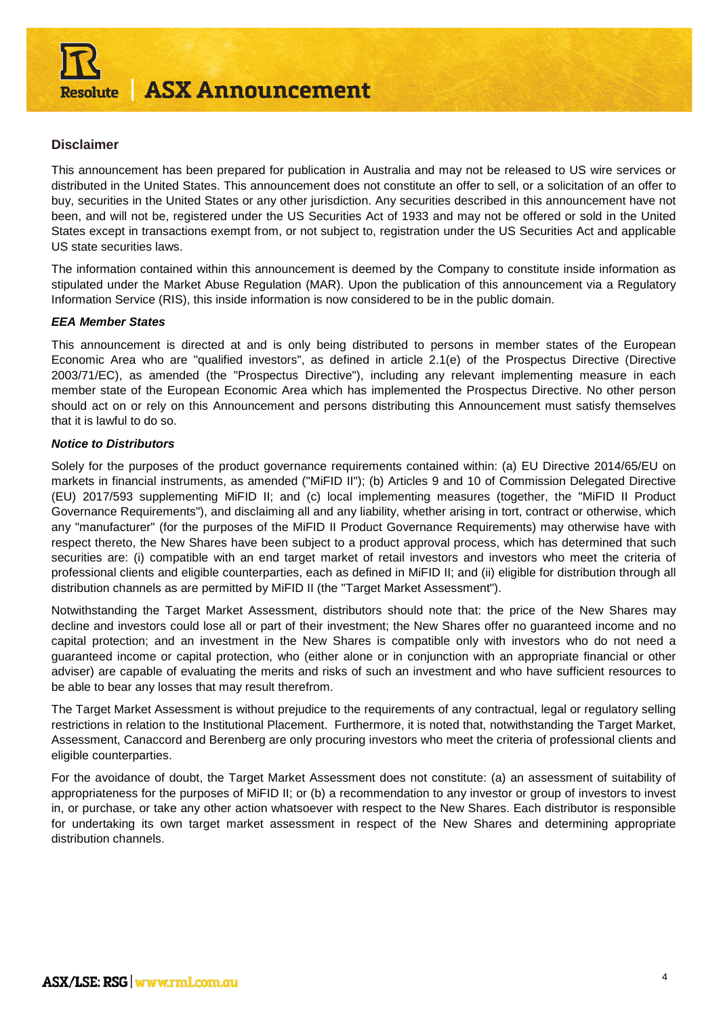

#### **Disclaimer**

This announcement has been prepared for publication in Australia and may not be released to US wire services or distributed in the United States. This announcement does not constitute an offer to sell, or a solicitation of an offer to buy, securities in the United States or any other jurisdiction. Any securities described in this announcement have not been, and will not be, registered under the US Securities Act of 1933 and may not be offered or sold in the United States except in transactions exempt from, or not subject to, registration under the US Securities Act and applicable US state securities laws.

The information contained within this announcement is deemed by the Company to constitute inside information as stipulated under the Market Abuse Regulation (MAR). Upon the publication of this announcement via a Regulatory Information Service (RIS), this inside information is now considered to be in the public domain.

#### *EEA Member States*

This announcement is directed at and is only being distributed to persons in member states of the European Economic Area who are "qualified investors", as defined in article 2.1(e) of the Prospectus Directive (Directive 2003/71/EC), as amended (the "Prospectus Directive"), including any relevant implementing measure in each member state of the European Economic Area which has implemented the Prospectus Directive. No other person should act on or rely on this Announcement and persons distributing this Announcement must satisfy themselves that it is lawful to do so.

#### *Notice to Distributors*

Solely for the purposes of the product governance requirements contained within: (a) EU Directive 2014/65/EU on markets in financial instruments, as amended ("MiFID II"); (b) Articles 9 and 10 of Commission Delegated Directive (EU) 2017/593 supplementing MiFID II; and (c) local implementing measures (together, the "MiFID II Product Governance Requirements"), and disclaiming all and any liability, whether arising in tort, contract or otherwise, which any "manufacturer" (for the purposes of the MiFID II Product Governance Requirements) may otherwise have with respect thereto, the New Shares have been subject to a product approval process, which has determined that such securities are: (i) compatible with an end target market of retail investors and investors who meet the criteria of professional clients and eligible counterparties, each as defined in MiFID II; and (ii) eligible for distribution through all distribution channels as are permitted by MiFID II (the "Target Market Assessment").

Notwithstanding the Target Market Assessment, distributors should note that: the price of the New Shares may decline and investors could lose all or part of their investment; the New Shares offer no guaranteed income and no capital protection; and an investment in the New Shares is compatible only with investors who do not need a guaranteed income or capital protection, who (either alone or in conjunction with an appropriate financial or other adviser) are capable of evaluating the merits and risks of such an investment and who have sufficient resources to be able to bear any losses that may result therefrom.

The Target Market Assessment is without prejudice to the requirements of any contractual, legal or regulatory selling restrictions in relation to the Institutional Placement. Furthermore, it is noted that, notwithstanding the Target Market, Assessment, Canaccord and Berenberg are only procuring investors who meet the criteria of professional clients and eligible counterparties.

For the avoidance of doubt, the Target Market Assessment does not constitute: (a) an assessment of suitability of appropriateness for the purposes of MiFID II; or (b) a recommendation to any investor or group of investors to invest in, or purchase, or take any other action whatsoever with respect to the New Shares. Each distributor is responsible for undertaking its own target market assessment in respect of the New Shares and determining appropriate distribution channels.